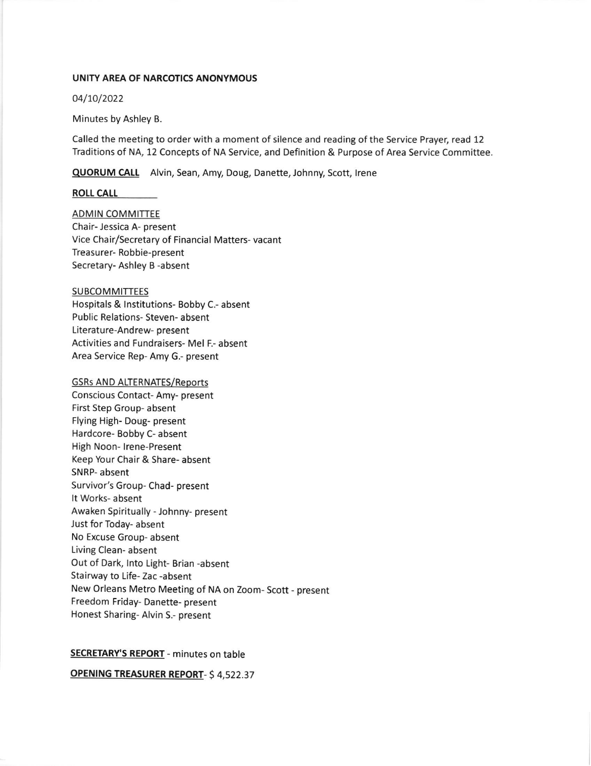#### UNITY AREA OF NARCOTICS ANONYMOUS

04/70/2022

Minutes by Ashley B.

Called the meeting to order with a moment of silence and reading of the Service Prayer, read 12 Traditions of NA, 12 Concepts of NA Service, and Definition & Purpose of Area Service Committee.

**QUORUM CALL** Alvin, Sean, Amy, Doug, Danette, Johnny, Scott, Irene

#### ROLL CA

ADMIN COMMITTEE Chair- Jessica A- present Vice Chair/Secretary of Financial Matters- vacant Treasurer- Robbie-present Secretary- Ashley B -absent

SUBCOMMITTEES

Hospitals & Institutions- Bobby C.- absent Public Relations- Steven- absent Literature-Andrew- present Activities and Fundraisers- Mel F.- absent Area Service Rep- Amy G.- present

#### **GSRs AND ALTERNATES/Reports**

Conscious Contact- Amy- present First Step Group- absent Flying High- Doug- present Hardcore- Bobby C- absent High Noon- lrene-Present Keep Your Chair & Share- absent SNRP- absent Survivor's Group- Chad- present It Works- absent Awaken Spiritually - Johnny- present Just for Today- absent No Excuse Group- absent Living Clean- absent Out of Dark, lnto Light- Brian -absent Stairway to Life- Zac -absent New Orleans Metro Meeting of NA on Zoom- Scott - present Freedom Friday- Danette- present Honest Sharing- Alvin S.- present

#### SECRETARY'S REPORT - minutes on table

oPENlNG TREASURER REPORT- 5 4,522.37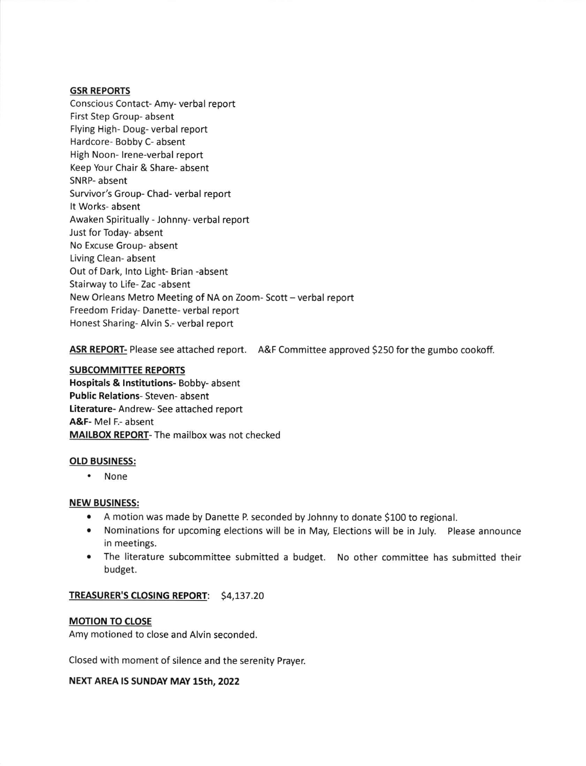## GSR REPORTS

Conscious Contact- Amy- verbal report First Step Group- absent Flying High- Doug- verbal report Hardcore- Bobby C- absent High Noon- lrene-verbal report Keep Your Chair & Share- absent SNRP- absent Survivor's Group- Chad- verbal report It Works- absent Awaken Spiritually - Johnny- verbal report Just for Today- absent No Excuse Group- absent Living Clean- absent Out of Dark, lnto Light- Brian -absent Stairway to Life- Zac -absent New Orleans Metro Meeting of NA on Zoom-Scott - verbal report Freedom Friday- Danette- verbal report Honest Sharing- Alvin S.- verbal report

ASR REPORT- Please see attached report. A&F Committee approved \$250 for the gumbo cookoff.

## SUBCOMMITTEE REPORTS

Hospitals & lnstitutions- Bobby- absent Public Relations- Steven- absent Literature- Andrew- See attached report A&F- Mel F.- absent MAILBOX REPORT- The mailbox was not checked

### OLD BUSINESS:

. None

### NEW BUSINESS:

- . A motion was made by Danette P seconded by Johnny to donate 5100 to regional.
- . Nominations for upcoming elections will be in May, Elections will be in July. Please announce in meetings.
- . The literature subcommittee submitted a budget. No other committee has submitted their budget.

# TREASURER'S CLOSING REPORT: \$4,137.20

# **MOTION TO CLOSE**

Amy motioned to close and Alvin seconded

Closed with moment of silence and the serenity Prayer.

# NEXT AREA IS SUNDAY MAY 15th, 2022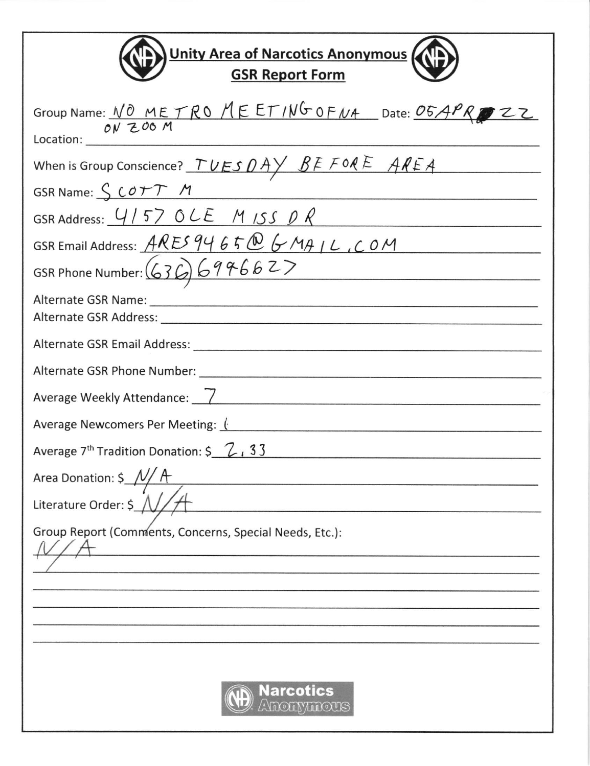| <b>Unity Area of Narcotics Anonymous</b><br><b>GSR Report Form</b>        |
|---------------------------------------------------------------------------|
| Group Name: <u>NO METRO MEETING OFNA</u> Date: 05APROZZ                   |
| When is Group Conscience? $TUESDAYBEFORE AREF A$                          |
| GSR Name: SCOTT M                                                         |
| GSR Address: $4157$ OLE M ISS DR                                          |
| GSR Email Address: $\widehat{ARES 946506}$ $\stackrel{\frown}{GHHIL}$ COM |
| GSR Phone Number: $(636) 699662$                                          |
|                                                                           |
|                                                                           |
|                                                                           |
| Average Weekly Attendance: 7                                              |
| Average Newcomers Per Meeting: (                                          |
| Average $7th$ Tradition Donation: $\frac{2}{5}$ , $\frac{2}{1}$ , 33      |
| Area Donation: \$_                                                        |
| Literature Order: \$                                                      |
| Group Report (Comments, Concerns, Special Needs, Etc.):                   |
|                                                                           |
|                                                                           |
| <b>Narcotics</b>                                                          |